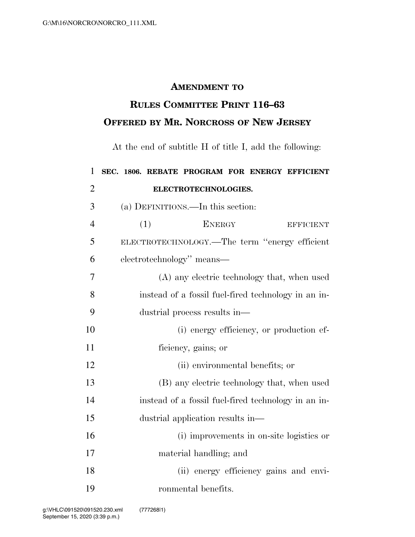## **AMENDMENT TO**

## **RULES COMMITTEE PRINT 116–63 OFFERED BY MR. NORCROSS OF NEW JERSEY**

At the end of subtitle H of title I, add the following:

| $\mathbf{1}$   | SEC. 1806. REBATE PROGRAM FOR ENERGY EFFICIENT      |                     |  |                                          |  |
|----------------|-----------------------------------------------------|---------------------|--|------------------------------------------|--|
| $\overline{2}$ | ELECTROTECHNOLOGIES.                                |                     |  |                                          |  |
| 3              | (a) DEFINITIONS.—In this section:                   |                     |  |                                          |  |
| $\overline{4}$ | <b>ENERGY</b><br>(1)                                |                     |  | <b>EFFICIENT</b>                         |  |
| 5              | ELECTROTECHNOLOGY.—The term "energy efficient       |                     |  |                                          |  |
| 6              | electrotechnology" means-                           |                     |  |                                          |  |
| 7              | (A) any electric technology that, when used         |                     |  |                                          |  |
| 8              | instead of a fossil fuel-fired technology in an in- |                     |  |                                          |  |
| 9              | dustrial process results in—                        |                     |  |                                          |  |
| 10             |                                                     |                     |  | (i) energy efficiency, or production ef- |  |
| 11             | ficiency, gains; or                                 |                     |  |                                          |  |
| 12             | (ii) environmental benefits; or                     |                     |  |                                          |  |
| 13             | (B) any electric technology that, when used         |                     |  |                                          |  |
| 14             | instead of a fossil fuel-fired technology in an in- |                     |  |                                          |  |
| 15             | dustrial application results in-                    |                     |  |                                          |  |
| 16             |                                                     |                     |  | (i) improvements in on-site logistics or |  |
| 17             | material handling; and                              |                     |  |                                          |  |
| 18             |                                                     |                     |  | (ii) energy efficiency gains and envi-   |  |
| 19             |                                                     | ronmental benefits. |  |                                          |  |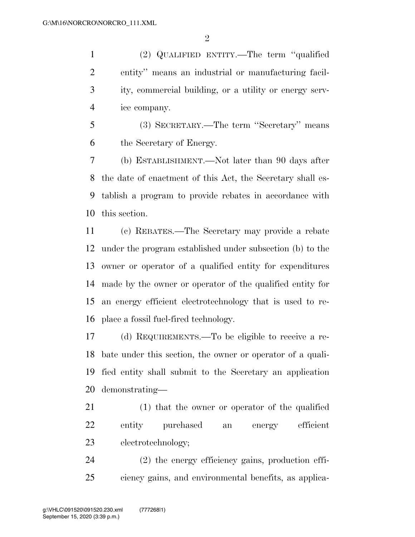(2) QUALIFIED ENTITY.—The term ''qualified entity'' means an industrial or manufacturing facil- ity, commercial building, or a utility or energy serv-ice company.

 (3) SECRETARY.—The term ''Secretary'' means the Secretary of Energy.

 (b) ESTABLISHMENT.—Not later than 90 days after the date of enactment of this Act, the Secretary shall es- tablish a program to provide rebates in accordance with this section.

 (c) REBATES.—The Secretary may provide a rebate under the program established under subsection (b) to the owner or operator of a qualified entity for expenditures made by the owner or operator of the qualified entity for an energy efficient electrotechnology that is used to re-place a fossil fuel-fired technology.

 (d) REQUIREMENTS.—To be eligible to receive a re- bate under this section, the owner or operator of a quali- fied entity shall submit to the Secretary an application demonstrating—

 (1) that the owner or operator of the qualified entity purchased an energy efficient electrotechnology;

 (2) the energy efficiency gains, production effi-ciency gains, and environmental benefits, as applica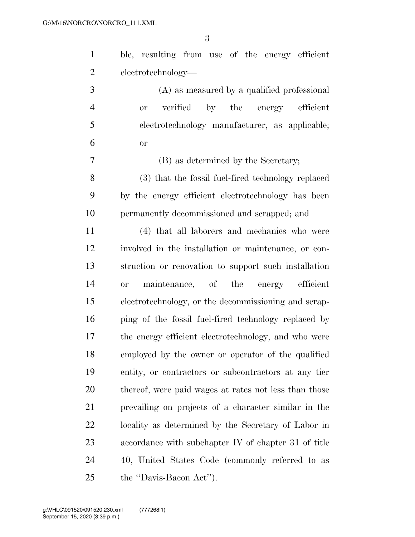| $\mathbf{1}$   | ble, resulting from use of the energy efficient       |
|----------------|-------------------------------------------------------|
| $\overline{2}$ | electrotechnology—                                    |
| 3              | (A) as measured by a qualified professional           |
| $\overline{4}$ | verified by the energy efficient<br><b>or</b>         |
| 5              | electrotechnology manufacturer, as applicable;        |
| 6              | or                                                    |
| 7              | (B) as determined by the Secretary;                   |
| 8              | (3) that the fossil fuel-fired technology replaced    |
| 9              | by the energy efficient electrotechnology has been    |
| 10             | permanently decommissioned and scrapped; and          |
| 11             | (4) that all laborers and mechanics who were          |
| 12             | involved in the installation or maintenance, or con-  |
| 13             | struction or renovation to support such installation  |
| 14             | maintenance, of the energy efficient<br><b>or</b>     |
| 15             | electrotechnology, or the decommissioning and scrap-  |
| 16             | ping of the fossil fuel-fired technology replaced by  |
| 17             | the energy efficient electrotechnology, and who were  |
| 18             | employed by the owner or operator of the qualified    |
| 19             | entity, or contractors or subcontractors at any tier  |
| 20             | thereof, were paid wages at rates not less than those |
| 21             | prevailing on projects of a character similar in the  |
| 22             | locality as determined by the Secretary of Labor in   |
| 23             | accordance with subchapter IV of chapter 31 of title  |
| 24             | 40, United States Code (commonly referred to as       |
| 25             | the "Davis-Bacon Act").                               |